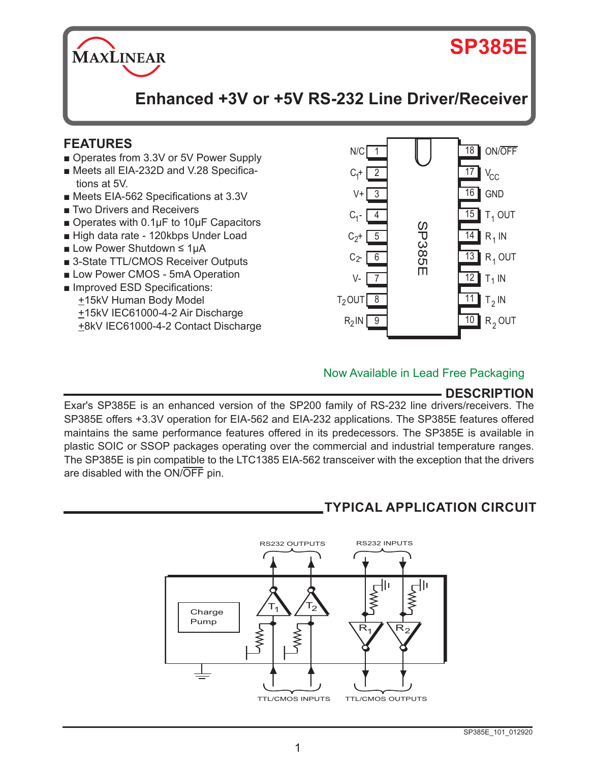

# **SP385E**

**Enhanced +3V or +5V RS-232 Line Driver/Receiver**

## **FEATURES**

- Operates from 3.3V or 5V Power Supply
- Meets all EIA-232D and V.28 Specifications at 5V.
- Meets EIA-562 Specifications at 3.3V
- Two Drivers and Receivers
- Operates with 0.1µF to 10µF Capacitors
- High data rate 120kbps Under Load
- Low Power Shutdown ≤ 1µA
- 3-State TTL/CMOS Receiver Outputs
- Low Power CMOS 5mA Operation
- Improved ESD Specifications: +15kV Human Body Model +15kV IEC61000-4-2 Air Discharge +8kV IEC61000-4-2 Contact Discharge



#### Now Available in Lead Free Packaging

## **DESCRIPTION**

Exar's SP385E is an enhanced version of the SP200 family of RS-232 line drivers/receivers. The SP385E offers +3.3V operation for EIA-562 and EIA-232 applications. The SP385E features offered maintains the same performance features offered in its predecessors. The SP385E is available in plastic SOIC or SSOP packages operating over the commercial and industrial temperature ranges. The SP385E is pin compatible to the LTC1385 EIA-562 transceiver with the exception that the drivers are disabled with the ON/OFF pin.

# **TYPICAL APPLICATION CIRCUIT**

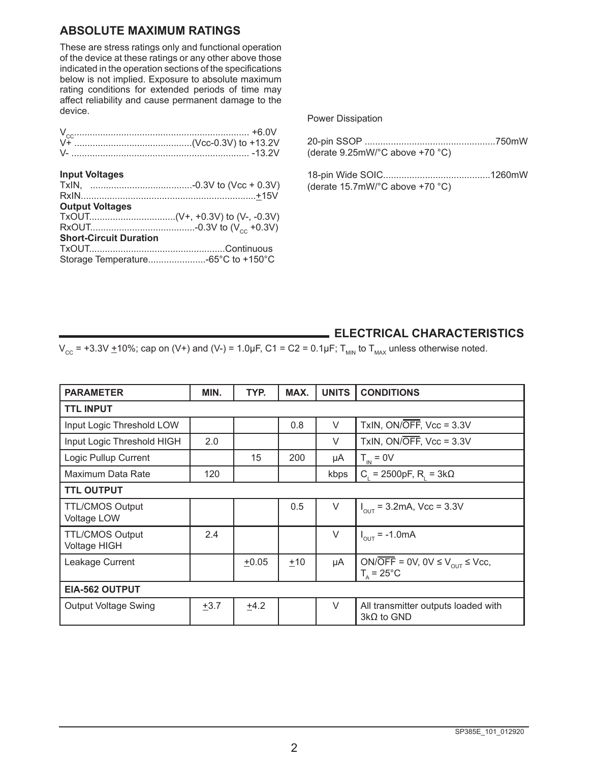#### **ABSOLUTE MAXIMUM RATINGS**

These are stress ratings only and functional operation of the device at these ratings or any other above those indicated in the operation sections of the specifications below is not implied. Exposure to absolute maximum rating conditions for extended periods of time may affect reliability and cause permanent damage to the device.

| $V_{cc}$ +6.0V                |  |
|-------------------------------|--|
| <b>Input Voltages</b>         |  |
|                               |  |
|                               |  |
| <b>Output Voltages</b>        |  |
|                               |  |
|                               |  |
| <b>Short-Circuit Duration</b> |  |
|                               |  |
|                               |  |

Power Dissipation

| (derate 9.25mW/°C above +70 °C) |  |
|---------------------------------|--|

18-pin Wide SOIC.........................................1260mW (derate 15.7mW/°C above +70 °C)

#### **ELECTRICAL CHARACTERISTICS**

 $\overline{V_{C} = +3.3V \pm 10\%}$ ; cap on (V+) and (V-) = 1.0µF, C1 = C2 = 0.1µF; T<sub>MIN</sub> to T<sub>MAX</sub> unless otherwise noted.

| <b>PARAMETER</b>                             | MIN. | TYP.    | MAX. | <b>UNITS</b> | <b>CONDITIONS</b>                                                          |
|----------------------------------------------|------|---------|------|--------------|----------------------------------------------------------------------------|
| <b>TTL INPUT</b>                             |      |         |      |              |                                                                            |
| Input Logic Threshold LOW                    |      |         | 0.8  | $\vee$       | TxIN, ON/OFF, $Vec = 3.3V$                                                 |
| Input Logic Threshold HIGH                   | 2.0  |         |      | $\vee$       | TxIN, $ON/\overline{OFF}$ , $Vcc = 3.3V$                                   |
| Logic Pullup Current                         |      | 15      | 200  | μA           | $T_{\text{in}} = 0V$                                                       |
| Maximum Data Rate                            | 120  |         |      | kbps         | C = 2500pF, R = $3k\Omega$                                                 |
| <b>TTL OUTPUT</b>                            |      |         |      |              |                                                                            |
| <b>TTL/CMOS Output</b><br><b>Voltage LOW</b> |      |         | 0.5  | $\vee$       | $I_{\text{out}}$ = 3.2mA, Vcc = 3.3V                                       |
| <b>TTL/CMOS Output</b><br>Voltage HIGH       | 2.4  |         |      | $\vee$       | $I_{\text{OUT}} = -1.0 \text{mA}$                                          |
| Leakage Current                              |      | $+0.05$ | ±10  | μA           | ON/OFF = 0V, 0V $\leq$ V <sub>OUT</sub> $\leq$ Vcc,<br>$Ts = 25^{\circ}$ C |
| EIA-562 OUTPUT                               |      |         |      |              |                                                                            |
| <b>Output Voltage Swing</b>                  | ±3.7 | $+4.2$  |      | $\vee$       | All transmitter outputs loaded with<br>$3k\Omega$ to GND                   |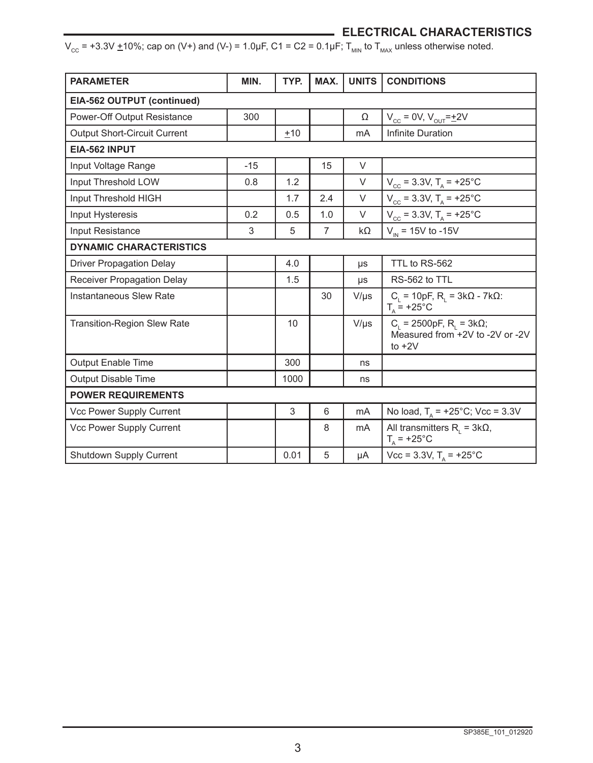## **ELECTRICAL CHARACTERISTICS**

 $V_{\text{cc}}$  = +3.3V  $\pm$ 10%; cap on (V+) and (V-) = 1.0µF, C1 = C2 = 0.1µF; T<sub>MIN</sub> to T<sub>MAX</sub> unless otherwise noted.

| <b>PARAMETER</b>                    | MIN.  | TYP.  | MAX.           | <b>UNITS</b>   | <b>CONDITIONS</b>                                                                        |
|-------------------------------------|-------|-------|----------------|----------------|------------------------------------------------------------------------------------------|
| EIA-562 OUTPUT (continued)          |       |       |                |                |                                                                                          |
| Power-Off Output Resistance         | 300   |       |                | Ω              | $V_{\text{cc}} = 0V, V_{\text{OUT}} = \pm 2V$                                            |
| <b>Output Short-Circuit Current</b> |       | $+10$ |                | mA             | Infinite Duration                                                                        |
| EIA-562 INPUT                       |       |       |                |                |                                                                                          |
| Input Voltage Range                 | $-15$ |       | 15             | V              |                                                                                          |
| Input Threshold LOW                 | 0.8   | 1.2   |                | $\vee$         | $V_{\text{cc}} = 3.3V$ , $T_A = +25^{\circ}C$                                            |
| Input Threshold HIGH                |       | 1.7   | 2.4            | $\vee$         | $V_{\text{cc}}$ = 3.3V, T <sub>A</sub> = +25°C                                           |
| Input Hysteresis                    | 0.2   | 0.5   | 1.0            | $\vee$         | $V_{\text{cc}}$ = 3.3V, T <sub>A</sub> = +25°C                                           |
| Input Resistance                    | 3     | 5     | $\overline{7}$ | $k\Omega$      | $V_{\text{IN}}$ = 15V to -15V                                                            |
| <b>DYNAMIC CHARACTERISTICS</b>      |       |       |                |                |                                                                                          |
| <b>Driver Propagation Delay</b>     |       | 4.0   |                | $\mu s$        | TTL to RS-562                                                                            |
| Receiver Propagation Delay          |       | 1.5   |                | $\mu s$        | RS-562 to TTL                                                                            |
| Instantaneous Slew Rate             |       |       | 30             | $V/\mu s$      | $C_1$ = 10pF, R <sub>1</sub> = 3kΩ - 7kΩ:<br>$T_a$ = +25°C                               |
| <b>Transition-Region Slew Rate</b>  |       | 10    |                | $V/\mu s$      | $C_{L}$ = 2500pF, $R_{L}$ = 3k $\Omega$ ;<br>Measured from +2V to -2V or -2V<br>to $+2V$ |
| <b>Output Enable Time</b>           |       | 300   |                | ns             |                                                                                          |
| <b>Output Disable Time</b>          |       | 1000  |                | ns             |                                                                                          |
| <b>POWER REQUIREMENTS</b>           |       |       |                |                |                                                                                          |
| Vcc Power Supply Current            |       | 3     | 6              | mA             | No load, $T_A$ = +25°C; Vcc = 3.3V                                                       |
| Vcc Power Supply Current            |       |       | 8              | m <sub>A</sub> | All transmitters $R_i = 3k\Omega$ ,<br>$T_A$ = +25°C                                     |
| Shutdown Supply Current             |       | 0.01  | 5              | μA             | $Vcc = 3.3V$ , $T_A = +25^{\circ}C$                                                      |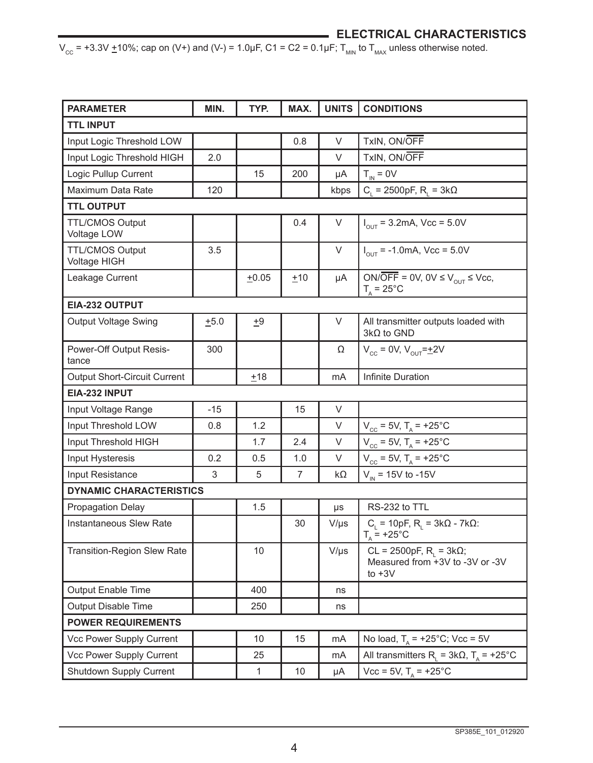## **ELECTRICAL CHARACTERISTICS**

 $V_{\text{cc}}$  = +3.3V  $\pm$ 10%; cap on (V+) and (V-) = 1.0µF, C1 = C2 = 0.1µF; T<sub>MIN</sub> to T<sub>MAX</sub> unless otherwise noted.

| <b>PARAMETER</b>                       | MIN.  | TYP.         | MAX. | <b>UNITS</b> | <b>CONDITIONS</b>                                                                 |
|----------------------------------------|-------|--------------|------|--------------|-----------------------------------------------------------------------------------|
| <b>TTL INPUT</b>                       |       |              |      |              |                                                                                   |
| Input Logic Threshold LOW              |       |              | 0.8  | V            | TxIN, ON/OFF                                                                      |
| Input Logic Threshold HIGH             | 2.0   |              |      | V            | TxIN, ON/OFF                                                                      |
| Logic Pullup Current                   |       | 15           | 200  | μA           | $T_{IN} = 0V$                                                                     |
| Maximum Data Rate                      | 120   |              |      | kbps         | $C_i = 2500pF, R_i = 3k\Omega$                                                    |
| <b>TTL OUTPUT</b>                      |       |              |      |              |                                                                                   |
| <b>TTL/CMOS Output</b><br>Voltage LOW  |       |              | 0.4  | V            | $I_{\text{out}} = 3.2 \text{mA}$ , Vcc = 5.0V                                     |
| <b>TTL/CMOS Output</b><br>Voltage HIGH | 3.5   |              |      | V            | $I_{\text{OUT}}$ = -1.0mA, Vcc = 5.0V                                             |
| Leakage Current                        |       | $+0.05$      | ±10  | μA           | ON/OFF = 0V, 0V $\leq$ V <sub>OUT</sub> $\leq$ Vcc,<br>$T_{A}$ = 25°C             |
| EIA-232 OUTPUT                         |       |              |      |              |                                                                                   |
| Output Voltage Swing                   | ±5.0  | <u>+</u> 9   |      | V            | All transmitter outputs loaded with<br>$3k\Omega$ to GND                          |
| Power-Off Output Resis-<br>tance       | 300   |              |      | Ω            | $V_{cc} = 0V, V_{OUT} = \pm 2V$                                                   |
| Output Short-Circuit Current           |       | ±18          |      | mA           | Infinite Duration                                                                 |
| EIA-232 INPUT                          |       |              |      |              |                                                                                   |
| Input Voltage Range                    | $-15$ |              | 15   | V            |                                                                                   |
| Input Threshold LOW                    | 0.8   | 1.2          |      | $\vee$       | $V_{\text{cc}} = 5V$ , T <sub>A</sub> = +25°C                                     |
| Input Threshold HIGH                   |       | 1.7          | 2.4  | V            | $V_{\text{cc}} = 5V$ , T <sub>A</sub> = +25°C                                     |
| Input Hysteresis                       | 0.2   | 0.5          | 1.0  | V            | $V_{\text{cc}} = 5V$ , $T_A = +25^{\circ}C$                                       |
| Input Resistance                       | 3     | 5            | 7    | kΩ           | $V_{\text{IN}}$ = 15V to -15V                                                     |
| <b>DYNAMIC CHARACTERISTICS</b>         |       |              |      |              |                                                                                   |
| <b>Propagation Delay</b>               |       | 1.5          |      | μs           | RS-232 to TTL                                                                     |
| <b>Instantaneous Slew Rate</b>         |       |              | 30   | $V/\mu s$    | $C_i$ = 10pF, R <sub>i</sub> = 3kΩ - 7kΩ:<br>$T_{\text{A}} = +25^{\circ}C$        |
| <b>Transition-Region Slew Rate</b>     |       | 10           |      | $V/\mu s$    | CL = 2500pF, R <sub>i</sub> = 3kΩ;<br>Measured from +3V to -3V or -3V<br>to $+3V$ |
| <b>Output Enable Time</b>              |       | 400          |      | ns           |                                                                                   |
| Output Disable Time                    |       | 250          |      | ns           |                                                                                   |
| <b>POWER REQUIREMENTS</b>              |       |              |      |              |                                                                                   |
| Vcc Power Supply Current               |       | 10           | 15   | mA           | No load, $T_a$ = +25°C; Vcc = 5V                                                  |
| Vcc Power Supply Current               |       | 25           |      | mA           | All transmitters $R_L = 3k\Omega$ , $T_A = +25^{\circ}C$                          |
| Shutdown Supply Current                |       | $\mathbf{1}$ | 10   | μA           | $Vcc = 5V$ , $T_a = +25^{\circ}C$                                                 |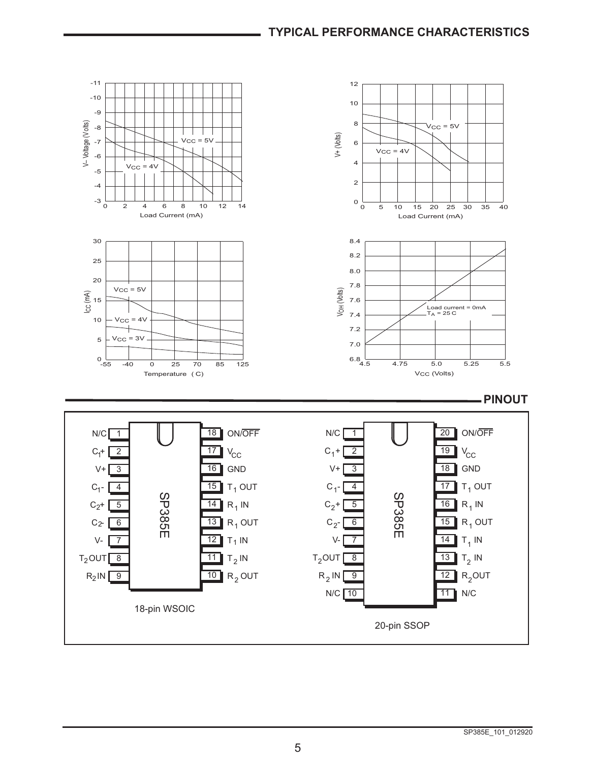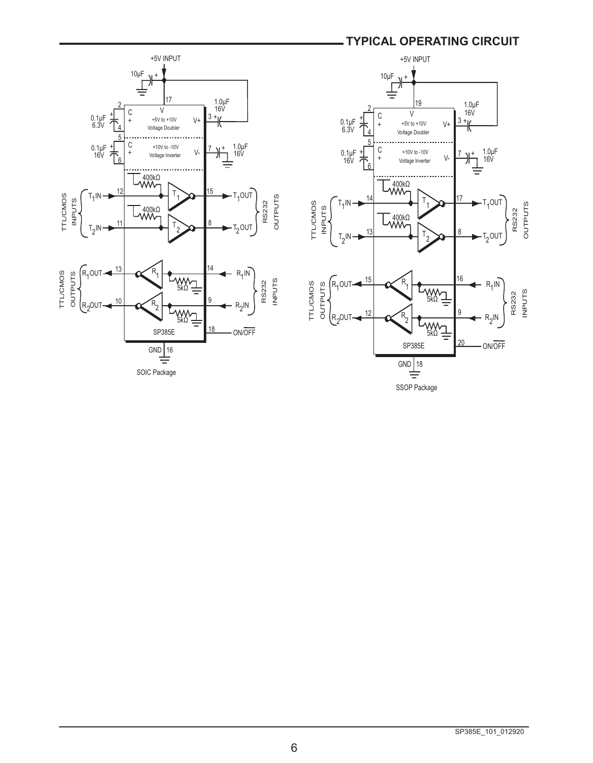## **TYPICAL OPERATING CIRCUIT**



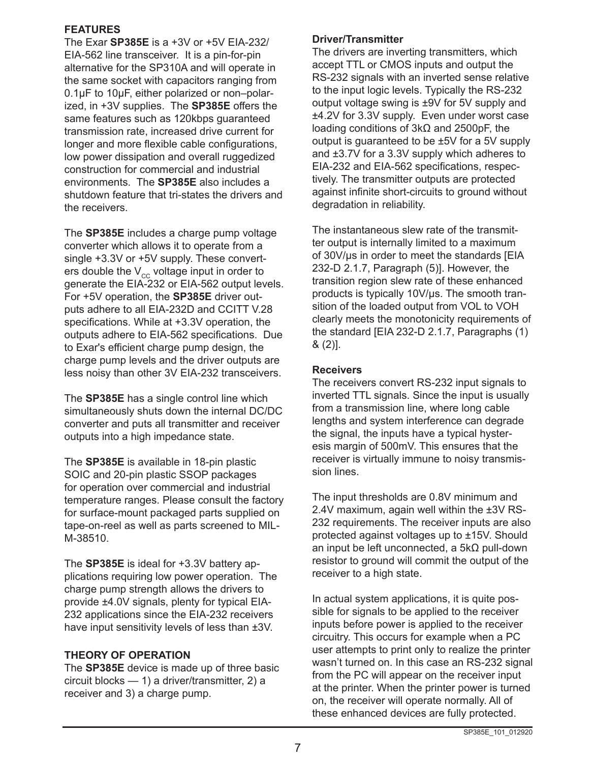#### **FEATURES**

The Exar **SP385E** is a +3V or +5V EIA-232/ EIA-562 line transceiver. It is a pin-for-pin alternative for the SP310A and will operate in the same socket with capacitors ranging from 0.1µF to 10µF, either polarized or non–polarized, in +3V supplies. The **SP385E** offers the same features such as 120kbps guaranteed transmission rate, increased drive current for longer and more flexible cable configurations, low power dissipation and overall ruggedized construction for commercial and industrial environments. The **SP385E** also includes a shutdown feature that tri-states the drivers and the receivers.

The **SP385E** includes a charge pump voltage converter which allows it to operate from a single +3.3V or +5V supply. These converters double the  $V_{cc}$  voltage input in order to generate the EIA-232 or EIA-562 output levels. For +5V operation, the **SP385E** driver outputs adhere to all EIA-232D and CCITT V.28 specifications. While at +3.3V operation, the outputs adhere to EIA-562 specifications. Due to Exar's efficient charge pump design, the charge pump levels and the driver outputs are less noisy than other 3V EIA-232 transceivers.

The **SP385E** has a single control line which simultaneously shuts down the internal DC/DC converter and puts all transmitter and receiver outputs into a high impedance state.

The **SP385E** is available in 18-pin plastic SOIC and 20-pin plastic SSOP packages for operation over commercial and industrial temperature ranges. Please consult the factory for surface-mount packaged parts supplied on tape-on-reel as well as parts screened to MIL-M-38510.

The **SP385E** is ideal for +3.3V battery applications requiring low power operation. The charge pump strength allows the drivers to provide ±4.0V signals, plenty for typical EIA-232 applications since the EIA-232 receivers have input sensitivity levels of less than ±3V.

#### **THEORY OF OPERATION**

The **SP385E** device is made up of three basic circuit blocks — 1) a driver/transmitter, 2) a receiver and 3) a charge pump.

#### **Driver/Transmitter**

The drivers are inverting transmitters, which accept TTL or CMOS inputs and output the RS-232 signals with an inverted sense relative to the input logic levels. Typically the RS-232 output voltage swing is ±9V for 5V supply and ±4.2V for 3.3V supply. Even under worst case loading conditions of 3kΩ and 2500pF, the output is guaranteed to be ±5V for a 5V supply and ±3.7V for a 3.3V supply which adheres to EIA-232 and EIA-562 specifications, respectively. The transmitter outputs are protected against infinite short-circuits to ground without degradation in reliability.

The instantaneous slew rate of the transmitter output is internally limited to a maximum of 30V/µs in order to meet the standards [EIA 232-D 2.1.7, Paragraph (5)]. However, the transition region slew rate of these enhanced products is typically 10V/µs. The smooth transition of the loaded output from VOL to VOH clearly meets the monotonicity requirements of the standard [EIA 232-D 2.1.7, Paragraphs (1) & (2)].

#### **Receivers**

The receivers convert RS-232 input signals to inverted TTL signals. Since the input is usually from a transmission line, where long cable lengths and system interference can degrade the signal, the inputs have a typical hysteresis margin of 500mV. This ensures that the receiver is virtually immune to noisy transmission lines.

The input thresholds are 0.8V minimum and 2.4V maximum, again well within the ±3V RS-232 requirements. The receiver inputs are also protected against voltages up to ±15V. Should an input be left unconnected, a 5kΩ pull-down resistor to ground will commit the output of the receiver to a high state.

In actual system applications, it is quite possible for signals to be applied to the receiver inputs before power is applied to the receiver circuitry. This occurs for example when a PC user attempts to print only to realize the printer wasn't turned on. In this case an RS-232 signal from the PC will appear on the receiver input at the printer. When the printer power is turned on, the receiver will operate normally. All of these enhanced devices are fully protected.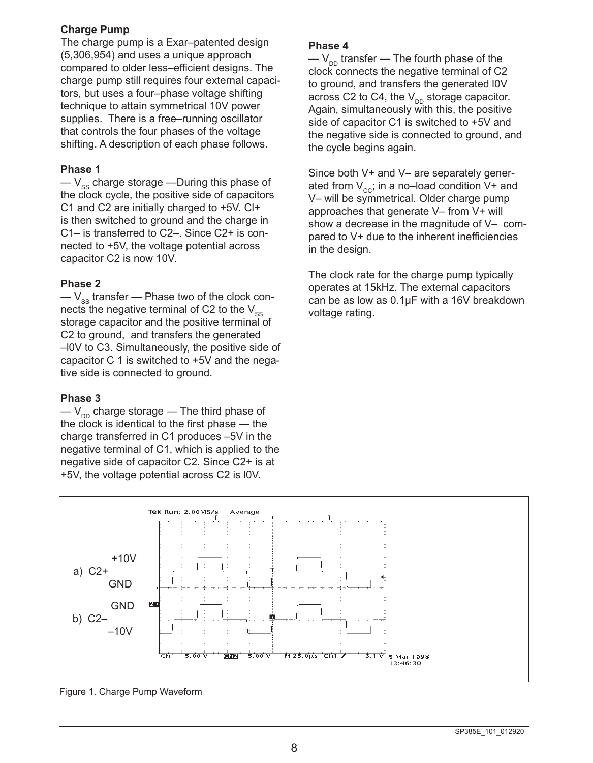#### **Charge Pump**

The charge pump is a Exar–patented design (5,306,954) and uses a unique approach compared to older less–efficient designs. The charge pump still requires four external capacitors, but uses a four–phase voltage shifting technique to attain symmetrical 10V power supplies. There is a free–running oscillator that controls the four phases of the voltage shifting. A description of each phase follows.

#### **Phase 1**

 $-V_{\text{ee}}$  charge storage —During this phase of the clock cycle, the positive side of capacitors C1 and C2 are initially charged to +5V. Cl+ is then switched to ground and the charge in C1– is transferred to C2–. Since C2+ is connected to +5V, the voltage potential across capacitor C2 is now 10V.

#### **Phase 2**

 $-V_{ss}$  transfer — Phase two of the clock connects the negative terminal of C2 to the  $V_{\text{sc}}$ storage capacitor and the positive terminal of C2 to ground, and transfers the generated –l0V to C3. Simultaneously, the positive side of capacitor C 1 is switched to +5V and the negative side is connected to ground.

#### **Phase 3**

 $-V_{\text{DD}}$  charge storage — The third phase of the clock is identical to the first phase — the charge transferred in C1 produces –5V in the negative terminal of C1, which is applied to the negative side of capacitor C2. Since C2+ is at +5V, the voltage potential across C2 is l0V.

#### **Phase 4**

 $-V_{\text{on}}$  transfer — The fourth phase of the clock connects the negative terminal of C2 to ground, and transfers the generated l0V across C2 to C4, the  $V_{DD}$  storage capacitor. Again, simultaneously with this, the positive side of capacitor C1 is switched to +5V and the negative side is connected to ground, and the cycle begins again.

Since both V+ and V– are separately generated from  $V_{cc}$ ; in a no–load condition V+ and V– will be symmetrical. Older charge pump approaches that generate V– from V+ will show a decrease in the magnitude of V– compared to V+ due to the inherent inefficiencies in the design.

The clock rate for the charge pump typically operates at 15kHz. The external capacitors can be as low as 0.1µF with a 16V breakdown voltage rating.



Figure 1. Charge Pump Waveform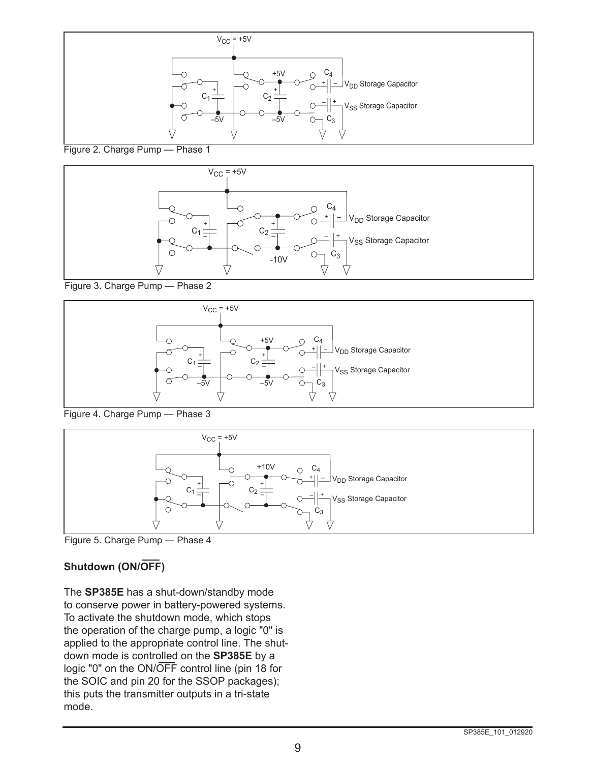

Figure 2. Charge Pump — Phase 1



Figure 3. Charge Pump — Phase 2



Figure 4. Charge Pump — Phase 3



Figure 5. Charge Pump — Phase 4

## **Shutdown (ON/OFF)**

The **SP385E** has a shut-down/standby mode to conserve power in battery-powered systems. To activate the shutdown mode, which stops the operation of the charge pump, a logic "0" is applied to the appropriate control line. The shutdown mode is controlled on the **SP385E** by a logic "0" on the ON/OFF control line (pin 18 for the SOIC and pin 20 for the SSOP packages); this puts the transmitter outputs in a tri-state mode.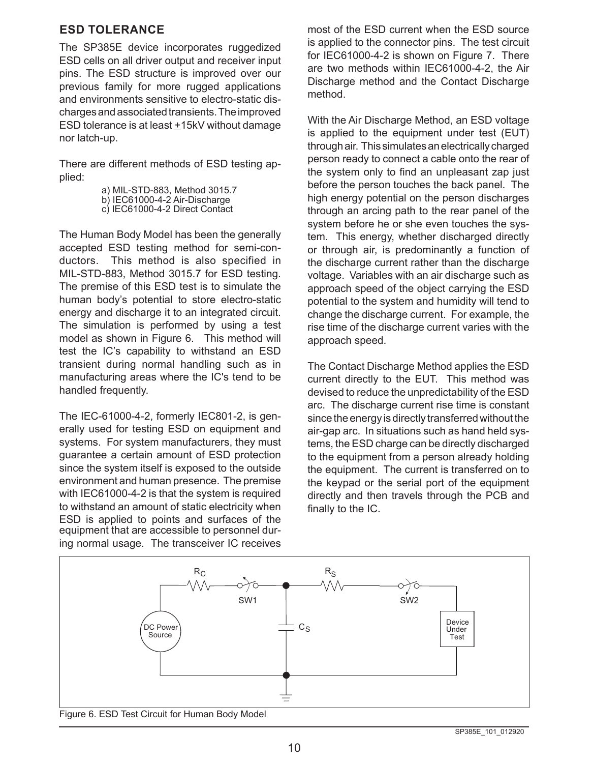#### **ESD TOLERANCE**

The SP385E device incorporates ruggedized ESD cells on all driver output and receiver input pins. The ESD structure is improved over our previous family for more rugged applications and environments sensitive to electro-static discharges and associated transients. The improved ESD tolerance is at least  $±15kV$  without damage nor latch-up.

There are different methods of ESD testing applied:

> a) MIL-STD-883, Method 3015.7 b) IEC61000-4-2 Air-Discharge c) IEC61000-4-2 Direct Contact

The Human Body Model has been the generally accepted ESD testing method for semi-conductors. This method is also specified in MIL-STD-883, Method 3015.7 for ESD testing. The premise of this ESD test is to simulate the human body's potential to store electro-static energy and discharge it to an integrated circuit. The simulation is performed by using a test model as shown in Figure 6. This method will test the IC's capability to withstand an ESD transient during normal handling such as in manufacturing areas where the IC's tend to be handled frequently.

The IEC-61000-4-2, formerly IEC801-2, is generally used for testing ESD on equipment and systems. For system manufacturers, they must guarantee a certain amount of ESD protection since the system itself is exposed to the outside environment and human presence. The premise with IEC61000-4-2 is that the system is required to withstand an amount of static electricity when ESD is applied to points and surfaces of the equipment that are accessible to personnel during normal usage. The transceiver IC receives most of the ESD current when the ESD source is applied to the connector pins. The test circuit for IEC61000-4-2 is shown on Figure 7. There are two methods within IEC61000-4-2, the Air Discharge method and the Contact Discharge method.

With the Air Discharge Method, an ESD voltage is applied to the equipment under test (EUT) through air. This simulates an electrically charged person ready to connect a cable onto the rear of the system only to find an unpleasant zap just before the person touches the back panel. The high energy potential on the person discharges through an arcing path to the rear panel of the system before he or she even touches the system. This energy, whether discharged directly or through air, is predominantly a function of the discharge current rather than the discharge voltage. Variables with an air discharge such as approach speed of the object carrying the ESD potential to the system and humidity will tend to change the discharge current. For example, the rise time of the discharge current varies with the approach speed.

The Contact Discharge Method applies the ESD current directly to the EUT. This method was devised to reduce the unpredictability of the ESD arc. The discharge current rise time is constant since the energy is directly transferred without the air-gap arc. In situations such as hand held systems, the ESD charge can be directly discharged to the equipment from a person already holding the equipment. The current is transferred on to the keypad or the serial port of the equipment directly and then travels through the PCB and finally to the IC.

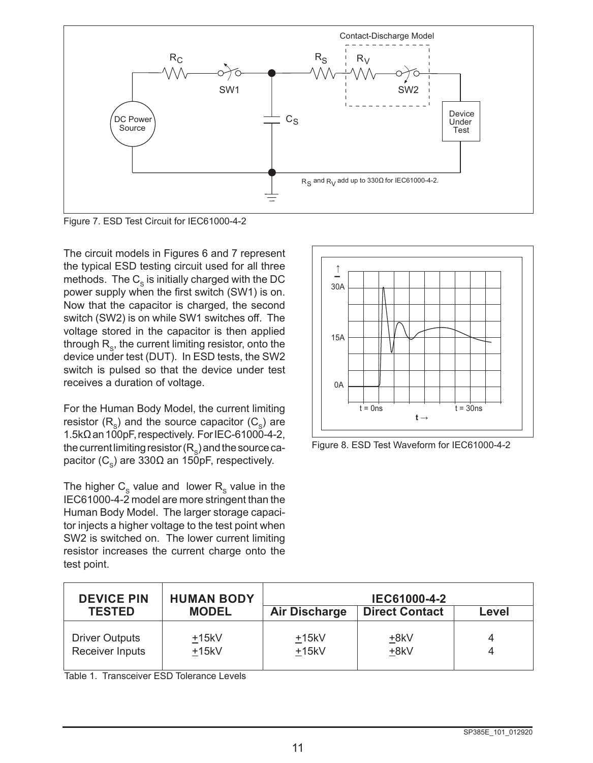

Figure 7. ESD Test Circuit for IEC61000-4-2

The circuit models in Figures 6 and 7 represent the typical ESD testing circuit used for all three methods. The  $C_{\rm s}$  is initially charged with the DC power supply when the first switch (SW1) is on. Now that the capacitor is charged, the second switch (SW2) is on while SW1 switches off. The voltage stored in the capacitor is then applied through  $R_{\rm s}$ , the current limiting resistor, onto the device under test (DUT). In ESD tests, the SW2 switch is pulsed so that the device under test receives a duration of voltage.

For the Human Body Model, the current limiting resistor  $(R_s)$  and the source capacitor  $(C_s)$  are 1.5kΩ an 100pF, respectively. For IEC-61000-4-2, the current limiting resistor  $(R_{\rm s})$  and the source capacitor (C<sub>s</sub>) are 330Ω an 150pF, respectively.

The higher  $C_{\rm s}$  value and lower  $R_{\rm s}$  value in the IEC61000-4-2 model are more stringent than the Human Body Model. The larger storage capacitor injects a higher voltage to the test point when SW2 is switched on. The lower current limiting resistor increases the current charge onto the test point.



Figure 8. ESD Test Waveform for IEC61000-4-2

| <b>DEVICE PIN</b><br><b>TESTED</b> | <b>HUMAN BODY</b><br><b>MODEL</b> | <b>Air Discharge</b> | IEC61000-4-2<br><b>Direct Contact</b> | Level |
|------------------------------------|-----------------------------------|----------------------|---------------------------------------|-------|
| <b>Driver Outputs</b>              | $+15kV$                           | $+15kV$              | +8kV                                  | 4     |
| Receiver Inputs                    | $+15kV$                           | $+15kV$              | +8kV                                  | 4     |

Table 1. Transceiver ESD Tolerance Levels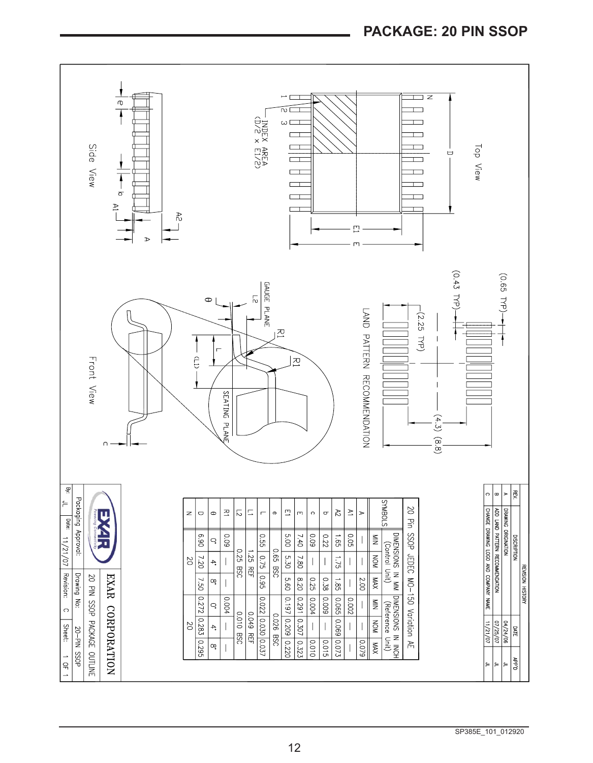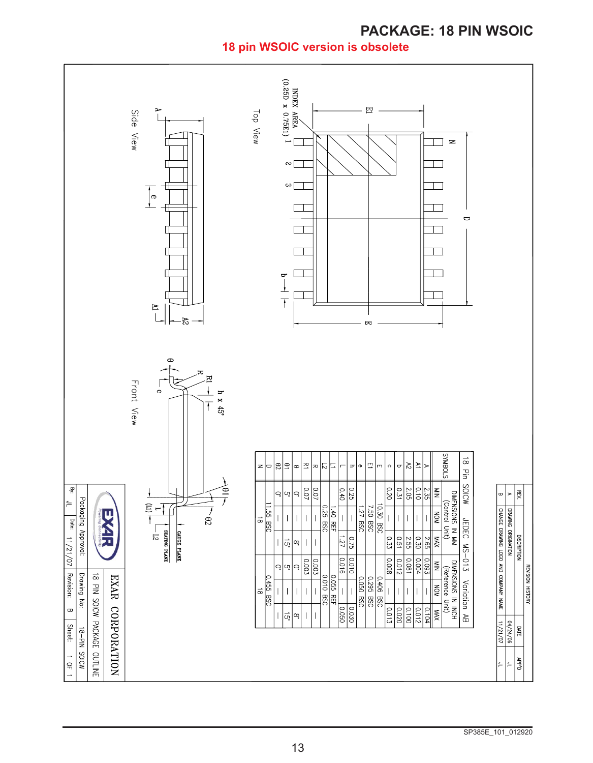# **PACKAGE: 18 PIN WSOIC**

**18 pin WSOIC version is obsolete**

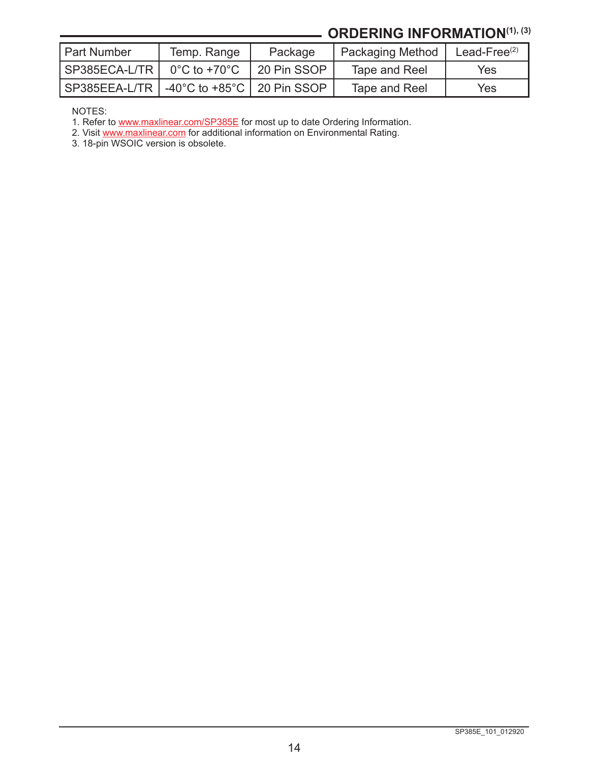# **ORDERING INFORMATION(1), (3)**

| l Part Number | Temp. Range  | Package     | Packaging Method | Lead-Free $(2)$ |
|---------------|--------------|-------------|------------------|-----------------|
| SP385ECA-L/TR | 0°C to +70°C | 20 Pin SSOP | Tape and Reel    | Yes             |
|               |              |             | Tape and Reel    | Yes             |

NOTES:

1. Refer to [www.maxlinear.com/SP385E](http://www.maxlinear.com/SP385E) for most up to date Ordering Information.

2. Visit [www.maxlinear.com](http://www.maxlinear.com) for additional information on Environmental Rating.

3. 18-pin WSOIC version is obsolete.